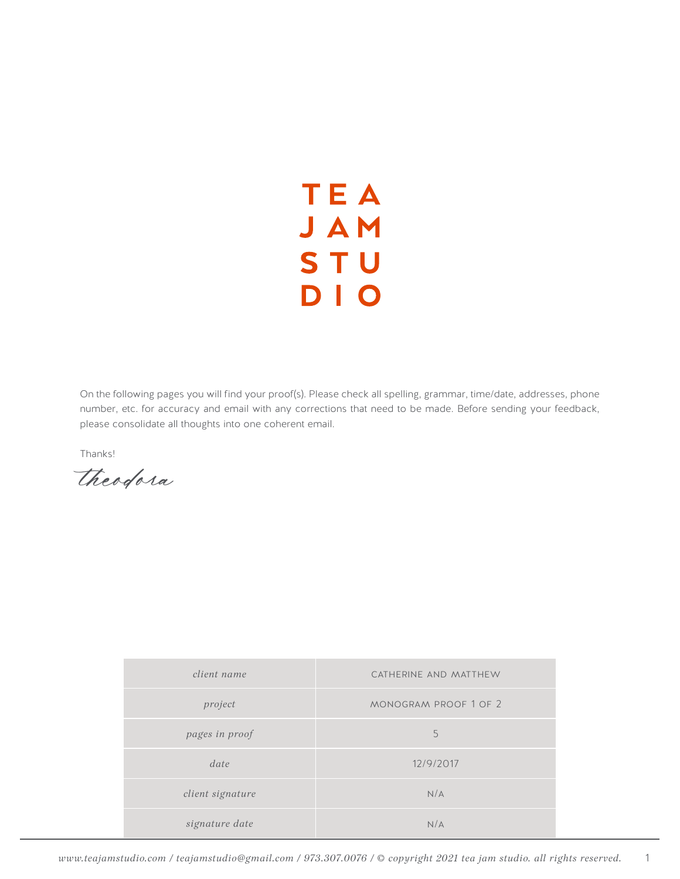## **TEA** JAM **STU** DIO

On the following pages you will find your proof(s). Please check all spelling, grammar, time/date, addresses, phone number, etc. for accuracy and email with any corrections that need to be made. Before sending your feedback, please consolidate all thoughts into one coherent email.

Thanks!

*theodora*

| client name      | CATHERINE AND MATTHEW |
|------------------|-----------------------|
| project          | MONOGRAM PROOF 1 OF 2 |
| pages in proof   | 5                     |
| date             | 12/9/2017             |
| client signature | N/A                   |
| signature date   | N/A                   |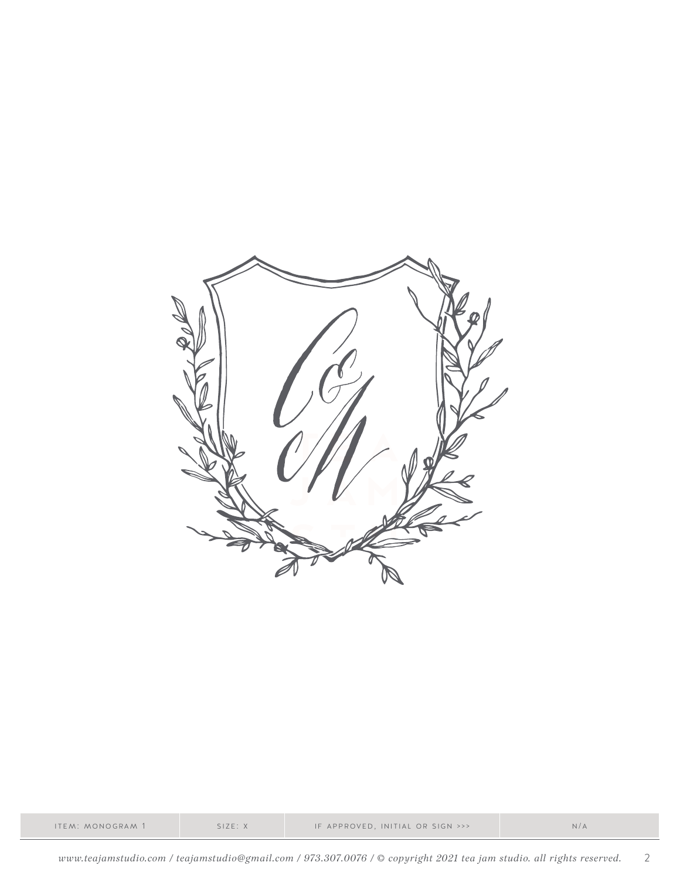

| ITEM: MONOGRAM 1 | SIZE: X | IF APPROVED, INITIAL OR SIGN >>> | N/A |
|------------------|---------|----------------------------------|-----|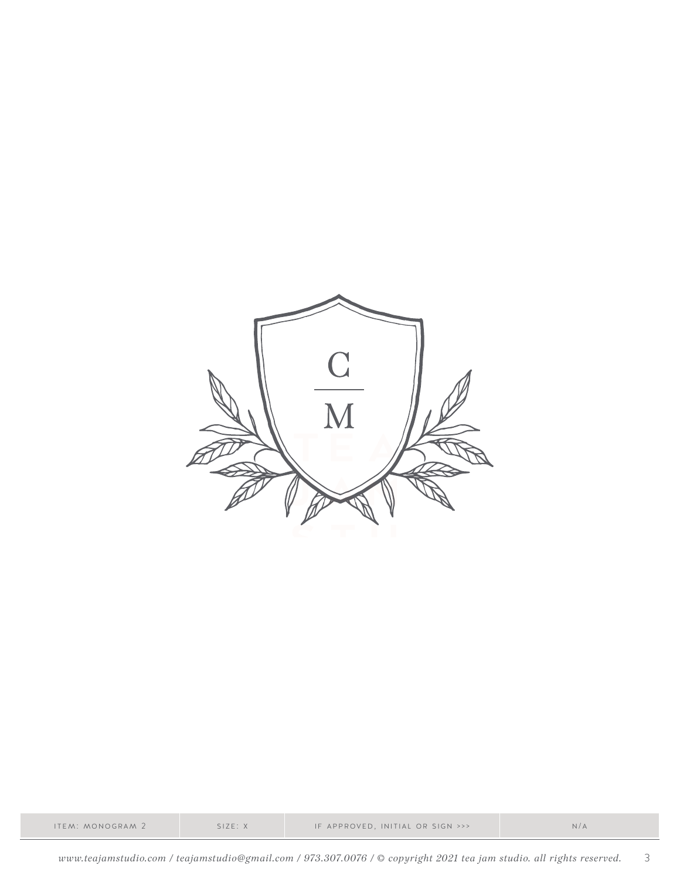

|  | ITEM: MONOGRAM 2 | SIZE: X | IF APPROVED, INITIAL OR SIGN >>> | N/A |
|--|------------------|---------|----------------------------------|-----|
|--|------------------|---------|----------------------------------|-----|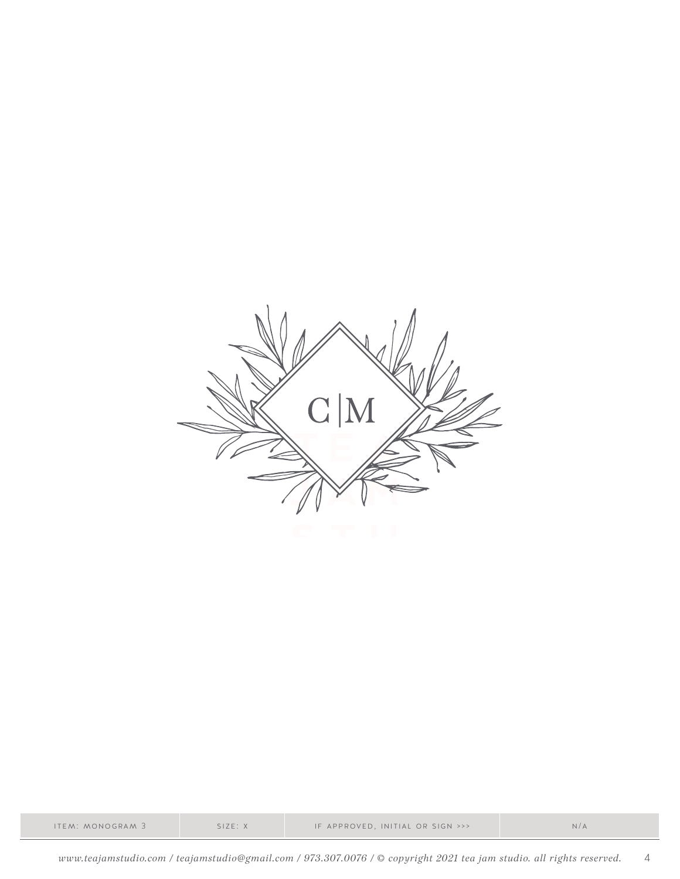

| ITEM: MONOGRAM 3 | SIZE: X | IF APPROVED, INITIAL OR SIGN >>> |  |
|------------------|---------|----------------------------------|--|
|------------------|---------|----------------------------------|--|